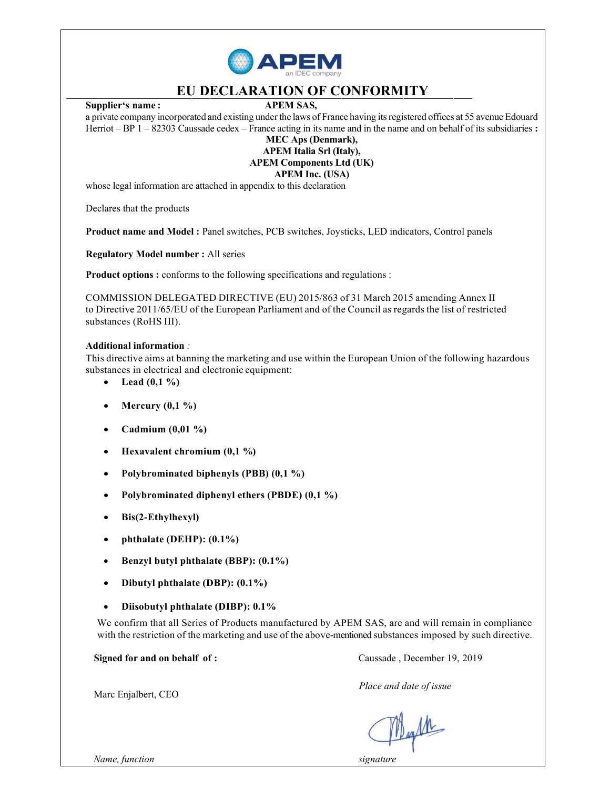

## EU DECLARATION OF CONFORMITY

Supplier's name: APEM SAS,

a private company incorporated and existing under the laws of France having its registered offices at 55 avenue Edouard Herriot – BP 1 – 82303 Caussade cedex – France acting in its name and in the name and on behalf of its subsidiaries : MEC Aps (Denmark),

APEM Italia Srl (Italy), APEM Components Ltd (UK)

APEM Inc. (USA)

whose legal information are attached in appendix to this declaration

Declares that the products

Product name and Model : Panel switches, PCB switches, Joysticks, LED indicators, Control panels

Regulatory Model number : All series

Product options: conforms to the following specifications and regulations:

COMMISSION DELEGATED DIRECTIVE (EU) 2015/863 of 31 March 2015 amending Annex II to Directive 2011/65/EU of the European Parliament and of the Council as regards the list of restricted substances (RoHS III).

#### Additional information :

This directive aims at banning the marketing and use within the European Union of the following hazardous substances in electrical and electronic equipment:

- Lead  $(0,1\%)$
- Mercury  $(0,1 \%)$
- Cadmium (0,01 %)
- Hexavalent chromium (0,1 %)
- Polybrominated biphenyls (PBB) (0,1 %)
- Polybrominated diphenyl ethers (PBDE) (0,1 %)
- Bis(2-Ethylhexyl)
- phthalate (DEHP): (0.1%)
- Benzyl butyl phthalate (BBP): (0.1%)
- Dibutyl phthalate (DBP): (0.1%)
- Diisobutyl phthalate (DIBP): 0.1%

We confirm that all Series of Products manufactured by APEM SAS, are and will remain in compliance with the restriction of the marketing and use of the above-mentioned substances imposed by such directive.

Signed for and on behalf of : Caussade, December 19, 2019

Place and date of issue

Mayle

Marc Enjalbert, CEO

Name, function signature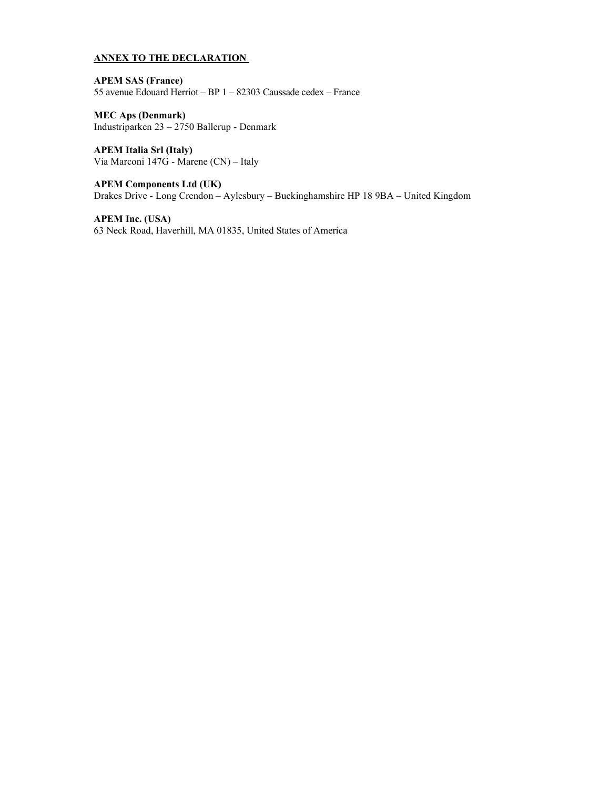### ANNEX TO THE DECLARATION

APEM SAS (France) 55 avenue Edouard Herriot – BP 1 – 82303 Caussade cedex – France

MEC Aps (Denmark) Industriparken 23 – 2750 Ballerup - Denmark

APEM Italia Srl (Italy) Via Marconi 147G - Marene (CN) – Italy

APEM Components Ltd (UK) Drakes Drive - Long Crendon – Aylesbury – Buckinghamshire HP 18 9BA – United Kingdom

APEM Inc. (USA) 63 Neck Road, Haverhill, MA 01835, United States of America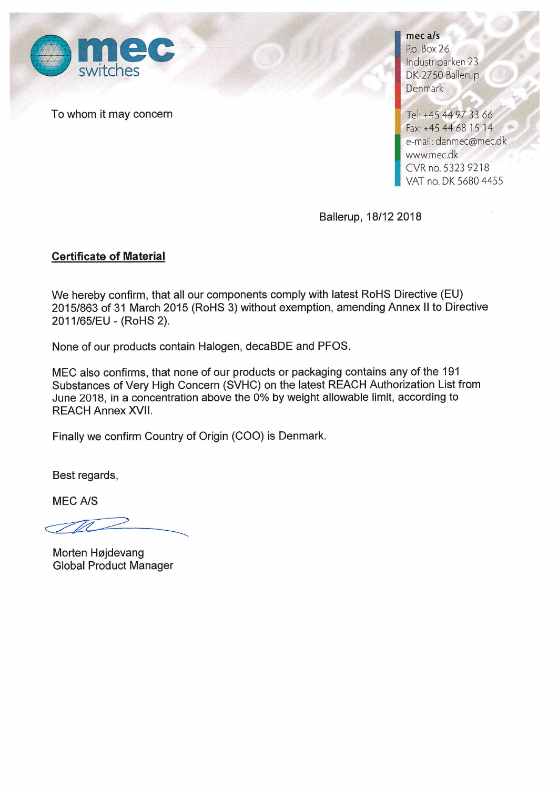

To whom it may concern

mec a/s P.o. Box 26 Industriparken 23 DK-2750 Ballerup Denmark

Tel: +45 44 97 33 66 Fax: +45 44 68 15 14 e-mail: danmec@mec.dk www.mec.dk CVR no. 5323 9218 VAT no. DK 5680 4455

Ballerup, 18/12 2018

## **Certificate of Material**

We hereby confirm, that all our components comply with latest RoHS Directive (EU) 2015/863 of 31 March 2015 (RoHS 3) without exemption, amending Annex II to Directive 2011/65/EU - (RoHS 2).

None of our products contain Halogen, decaBDE and PFOS.

MEC also confirms, that none of our products or packaging contains any of the 191 Substances of Very High Concern (SVHC) on the latest REACH Authorization List from June 2018, in a concentration above the 0% by weight allowable limit, according to **REACH Annex XVII.** 

Finally we confirm Country of Origin (COO) is Denmark.

Best regards,

**MEC A/S** 

Morten Højdevang **Global Product Manager**